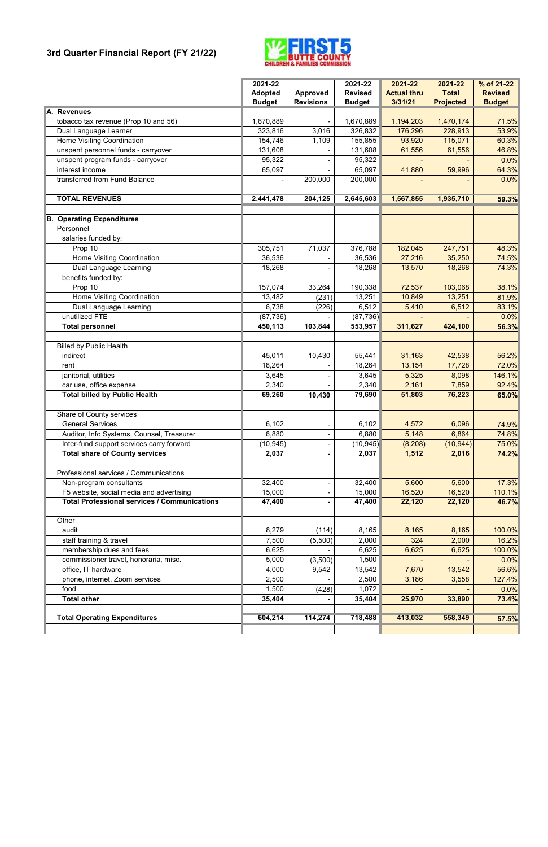## **3rd Quarter Financial Report (FY 21/22)**



|                                                     | 2021-22        |                  | 2021-22        | 2021-22            | 2021-22          | % of 21-22     |
|-----------------------------------------------------|----------------|------------------|----------------|--------------------|------------------|----------------|
|                                                     | <b>Adopted</b> | <b>Approved</b>  | <b>Revised</b> | <b>Actual thru</b> | <b>Total</b>     | <b>Revised</b> |
|                                                     | <b>Budget</b>  | <b>Revisions</b> | <b>Budget</b>  | 3/31/21            | <b>Projected</b> | <b>Budget</b>  |
| A. Revenues                                         |                |                  |                |                    |                  |                |
| tobacco tax revenue (Prop 10 and 56)                | 1,670,889      |                  | 1,670,889      | 1,194,203          | 1,470,174        | 71.5%          |
| Dual Language Learner                               | 323,816        | 3,016            | 326,832        | 176,296            | 228,913          | 53.9%          |
| Home Visiting Coordination                          | 154,746        | 1,109            | 155,855        | 93,920             | 115,071          | 60.3%          |
| unspent personnel funds - carryover                 | 131,608        |                  | 131,608        | 61,556             | 61,556           | 46.8%          |
| unspent program funds - carryover                   | 95,322         |                  | 95,322         |                    |                  | 0.0%           |
| interest income                                     | 65,097         |                  | 65,097         | 41,880             | 59,996           | 64.3%          |
| transferred from Fund Balance                       |                | 200,000          | 200,000        |                    |                  | 0.0%           |
| <b>TOTAL REVENUES</b>                               | 2,441,478      | 204,125          | 2,645,603      | 1,567,855          | 1,935,710        | 59.3%          |
|                                                     |                |                  |                |                    |                  |                |
| <b>B. Operating Expenditures</b>                    |                |                  |                |                    |                  |                |
| Personnel                                           |                |                  |                |                    |                  |                |
| salaries funded by:                                 |                |                  |                |                    |                  |                |
| Prop 10                                             | 305,751        | 71,037           | 376,788        | 182,045            | 247,751          | 48.3%          |
| <b>Home Visiting Coordination</b>                   | 36,536         |                  | 36,536         | 27,216             | 35,250           | 74.5%          |
| Dual Language Learning                              | 18,268         |                  | 18,268         | 13,570             | 18,268           | 74.3%          |
| benefits funded by:                                 |                |                  |                |                    |                  |                |
| Prop 10                                             | 157,074        | 33,264           | 190,338        | 72,537             | 103,068          | 38.1%          |
| Home Visiting Coordination                          | 13,482         | (231)            | 13,251         | 10,849             | 13,251           | 81.9%          |
| Dual Language Learning                              | 6,738          | (226)            | 6,512          | 5,410              | 6,512            | 83.1%          |
| unutilized FTE                                      | (87, 736)      |                  | (87, 736)      |                    |                  | 0.0%           |
| <b>Total personnel</b>                              | 450,113        | 103,844          | 553,957        | 311,627            | 424,100          | 56.3%          |
|                                                     |                |                  |                |                    |                  |                |
| <b>Billed by Public Health</b>                      |                |                  |                |                    |                  |                |
| indirect                                            | 45,011         | 10,430           | 55,441         | 31,163             | 42,538           | 56.2%          |
| rent                                                | 18,264         |                  | 18,264         | 13,154             | 17,728           | 72.0%          |
| janitorial, utilities                               | 3,645          |                  | 3,645          | 5,325              | 8,098            | 146.1%         |
| car use, office expense                             | 2,340          |                  | 2,340          | 2,161              | 7,859            | 92.4%          |
| <b>Total billed by Public Health</b>                | 69,260         | 10,430           | 79,690         | 51,803             | 76,223           | 65.0%          |
| Share of County services                            |                |                  |                |                    |                  |                |
| <b>General Services</b>                             | 6,102          |                  | 6,102          | 4,572              | 6,096            | 74.9%          |
| Auditor, Info Systems, Counsel, Treasurer           | 6,880          |                  | 6,880          | 5,148              | 6,864            | 74.8%          |
| Inter-fund support services carry forward           | (10, 945)      |                  | (10, 945)      | (8, 208)           | (10, 944)        | 75.0%          |
| <b>Total share of County services</b>               | 2,037          |                  | 2,037          | 1,512              | 2,016            | 74.2%          |
|                                                     |                |                  |                |                    |                  |                |
| Professional services / Communications              |                |                  |                |                    |                  |                |
| Non-program consultants                             | 32,400         |                  | 32,400         | 5,600              | 5,600            | 17.3%          |
| F5 website, social media and advertising            | 15,000         |                  | 15,000         | 16,520             | 16,520           | 110.1%         |
| <b>Total Professional services / Communications</b> | 47,400         |                  | 47,400         | 22,120             | 22,120           | 46.7%          |
|                                                     |                |                  |                |                    |                  |                |
| Other                                               |                |                  |                |                    |                  |                |
| audit                                               | 8,279          | (114)            | 8,165          | 8,165              | 8,165            | 100.0%         |
| staff training & travel                             | 7,500          | (5,500)          | 2,000          | 324                | 2,000            | 16.2%          |
| membership dues and fees                            | 6,625          |                  | 6,625          | 6,625              | 6,625            | 100.0%         |
| commissioner travel, honoraria, misc.               | 5,000          | (3,500)          | 1,500          |                    |                  | 0.0%           |
| office, IT hardware                                 | 4,000          | 9,542            | 13,542         | 7,670              | 13,542           | 56.6%          |
| phone, internet, Zoom services                      | 2,500          |                  | 2,500          | 3,186              | 3,558            | 127.4%         |
| food                                                | 1,500          | (428)            | 1,072          |                    |                  | 0.0%           |
| <b>Total other</b>                                  | 35,404         |                  | 35,404         | 25,970             | 33,890           | 73.4%          |
|                                                     |                |                  |                |                    |                  |                |
| <b>Total Operating Expenditures</b>                 | 604,214        | 114,274          | 718,488        | 413,032            | 558,349          | 57.5%          |
|                                                     |                |                  |                |                    |                  |                |